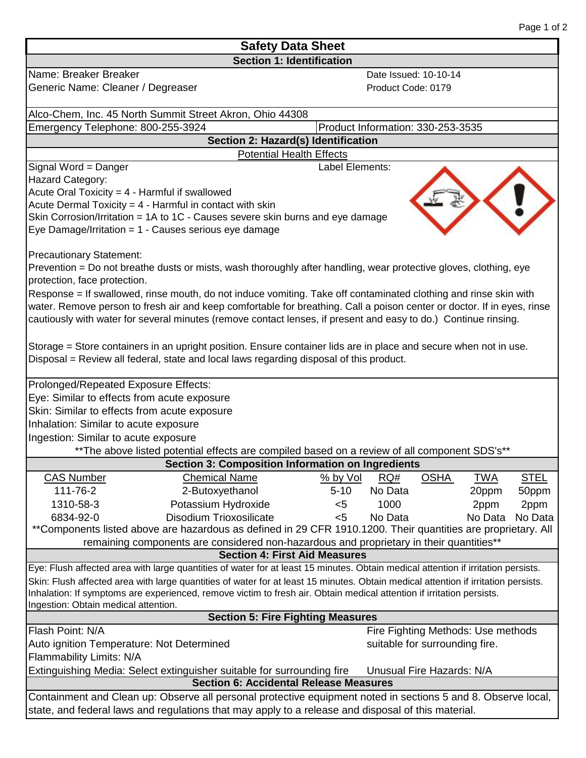| <b>Safety Data Sheet</b>                                                                                                                                                                                                                                    |                                                                                                                                   |                 |                                   |             |            |             |  |  |
|-------------------------------------------------------------------------------------------------------------------------------------------------------------------------------------------------------------------------------------------------------------|-----------------------------------------------------------------------------------------------------------------------------------|-----------------|-----------------------------------|-------------|------------|-------------|--|--|
| <b>Section 1: Identification</b>                                                                                                                                                                                                                            |                                                                                                                                   |                 |                                   |             |            |             |  |  |
| Name: Breaker Breaker                                                                                                                                                                                                                                       |                                                                                                                                   |                 | Date Issued: 10-10-14             |             |            |             |  |  |
| Generic Name: Cleaner / Degreaser                                                                                                                                                                                                                           |                                                                                                                                   |                 | Product Code: 0179                |             |            |             |  |  |
|                                                                                                                                                                                                                                                             | Alco-Chem, Inc. 45 North Summit Street Akron, Ohio 44308                                                                          |                 |                                   |             |            |             |  |  |
| Emergency Telephone: 800-255-3924                                                                                                                                                                                                                           |                                                                                                                                   |                 | Product Information: 330-253-3535 |             |            |             |  |  |
| Section 2: Hazard(s) Identification                                                                                                                                                                                                                         |                                                                                                                                   |                 |                                   |             |            |             |  |  |
|                                                                                                                                                                                                                                                             | <b>Potential Health Effects</b>                                                                                                   |                 |                                   |             |            |             |  |  |
| Signal Word = Danger                                                                                                                                                                                                                                        |                                                                                                                                   | Label Elements: |                                   |             |            |             |  |  |
| Hazard Category:                                                                                                                                                                                                                                            |                                                                                                                                   |                 |                                   |             |            |             |  |  |
|                                                                                                                                                                                                                                                             | Acute Oral Toxicity = $4$ - Harmful if swallowed                                                                                  |                 |                                   |             |            |             |  |  |
| Acute Dermal Toxicity = $4$ - Harmful in contact with skin<br>Skin Corrosion/Irritation = 1A to 1C - Causes severe skin burns and eye damage                                                                                                                |                                                                                                                                   |                 |                                   |             |            |             |  |  |
| Eye Damage/Irritation = $1 -$ Causes serious eye damage                                                                                                                                                                                                     |                                                                                                                                   |                 |                                   |             |            |             |  |  |
|                                                                                                                                                                                                                                                             |                                                                                                                                   |                 |                                   |             |            |             |  |  |
| <b>Precautionary Statement:</b>                                                                                                                                                                                                                             |                                                                                                                                   |                 |                                   |             |            |             |  |  |
|                                                                                                                                                                                                                                                             | Prevention = Do not breathe dusts or mists, wash thoroughly after handling, wear protective gloves, clothing, eye                 |                 |                                   |             |            |             |  |  |
| protection, face protection.                                                                                                                                                                                                                                |                                                                                                                                   |                 |                                   |             |            |             |  |  |
| Response = If swallowed, rinse mouth, do not induce vomiting. Take off contaminated clothing and rinse skin with                                                                                                                                            |                                                                                                                                   |                 |                                   |             |            |             |  |  |
| water. Remove person to fresh air and keep comfortable for breathing. Call a poison center or doctor. If in eyes, rinse                                                                                                                                     |                                                                                                                                   |                 |                                   |             |            |             |  |  |
|                                                                                                                                                                                                                                                             | cautiously with water for several minutes (remove contact lenses, if present and easy to do.) Continue rinsing.                   |                 |                                   |             |            |             |  |  |
|                                                                                                                                                                                                                                                             |                                                                                                                                   |                 |                                   |             |            |             |  |  |
|                                                                                                                                                                                                                                                             | Storage = Store containers in an upright position. Ensure container lids are in place and secure when not in use.                 |                 |                                   |             |            |             |  |  |
|                                                                                                                                                                                                                                                             | Disposal = Review all federal, state and local laws regarding disposal of this product.                                           |                 |                                   |             |            |             |  |  |
|                                                                                                                                                                                                                                                             |                                                                                                                                   |                 |                                   |             |            |             |  |  |
| Prolonged/Repeated Exposure Effects:                                                                                                                                                                                                                        |                                                                                                                                   |                 |                                   |             |            |             |  |  |
| Eye: Similar to effects from acute exposure                                                                                                                                                                                                                 |                                                                                                                                   |                 |                                   |             |            |             |  |  |
| Skin: Similar to effects from acute exposure                                                                                                                                                                                                                |                                                                                                                                   |                 |                                   |             |            |             |  |  |
| Inhalation: Similar to acute exposure                                                                                                                                                                                                                       |                                                                                                                                   |                 |                                   |             |            |             |  |  |
| Ingestion: Similar to acute exposure                                                                                                                                                                                                                        |                                                                                                                                   |                 |                                   |             |            |             |  |  |
|                                                                                                                                                                                                                                                             | ** The above listed potential effects are compiled based on a review of all component SDS's**                                     |                 |                                   |             |            |             |  |  |
|                                                                                                                                                                                                                                                             | <b>Section 3: Composition Information on Ingredients</b>                                                                          |                 |                                   |             |            |             |  |  |
| <b>CAS Number</b>                                                                                                                                                                                                                                           | <b>Chemical Name</b>                                                                                                              | $%$ by Vol      | RQ#                               | <b>OSHA</b> | <b>TWA</b> | <b>STEL</b> |  |  |
| 111-76-2                                                                                                                                                                                                                                                    | 2-Butoxyethanol                                                                                                                   | $5 - 10$        | No Data                           |             | 20ppm      | 50ppm       |  |  |
| 1310-58-3                                                                                                                                                                                                                                                   | Potassium Hydroxide                                                                                                               | $5$             | 1000                              |             | 2ppm       | 2ppm        |  |  |
| 6834-92-0                                                                                                                                                                                                                                                   | Disodium Trioxosilicate                                                                                                           | < 5             | No Data                           |             | No Data    | No Data     |  |  |
| **Components listed above are hazardous as defined in 29 CFR 1910.1200. Their quantities are proprietary. All<br>remaining components are considered non-hazardous and proprietary in their quantities**                                                    |                                                                                                                                   |                 |                                   |             |            |             |  |  |
| <b>Section 4: First Aid Measures</b>                                                                                                                                                                                                                        |                                                                                                                                   |                 |                                   |             |            |             |  |  |
|                                                                                                                                                                                                                                                             | Eye: Flush affected area with large quantities of water for at least 15 minutes. Obtain medical attention if irritation persists. |                 |                                   |             |            |             |  |  |
|                                                                                                                                                                                                                                                             |                                                                                                                                   |                 |                                   |             |            |             |  |  |
| Skin: Flush affected area with large quantities of water for at least 15 minutes. Obtain medical attention if irritation persists.<br>Inhalation: If symptoms are experienced, remove victim to fresh air. Obtain medical attention if irritation persists. |                                                                                                                                   |                 |                                   |             |            |             |  |  |
| Ingestion: Obtain medical attention.                                                                                                                                                                                                                        |                                                                                                                                   |                 |                                   |             |            |             |  |  |
| <b>Section 5: Fire Fighting Measures</b>                                                                                                                                                                                                                    |                                                                                                                                   |                 |                                   |             |            |             |  |  |
| Flash Point: N/A<br>Fire Fighting Methods: Use methods                                                                                                                                                                                                      |                                                                                                                                   |                 |                                   |             |            |             |  |  |
| suitable for surrounding fire.<br>Auto ignition Temperature: Not Determined                                                                                                                                                                                 |                                                                                                                                   |                 |                                   |             |            |             |  |  |
| Flammability Limits: N/A                                                                                                                                                                                                                                    |                                                                                                                                   |                 |                                   |             |            |             |  |  |
| Extinguishing Media: Select extinguisher suitable for surrounding fire<br>Unusual Fire Hazards: N/A                                                                                                                                                         |                                                                                                                                   |                 |                                   |             |            |             |  |  |
|                                                                                                                                                                                                                                                             | <b>Section 6: Accidental Release Measures</b>                                                                                     |                 |                                   |             |            |             |  |  |
|                                                                                                                                                                                                                                                             | Containment and Clean up: Observe all personal protective equipment noted in sections 5 and 8. Observe local,                     |                 |                                   |             |            |             |  |  |
|                                                                                                                                                                                                                                                             | state, and federal laws and regulations that may apply to a release and disposal of this material.                                |                 |                                   |             |            |             |  |  |
|                                                                                                                                                                                                                                                             |                                                                                                                                   |                 |                                   |             |            |             |  |  |